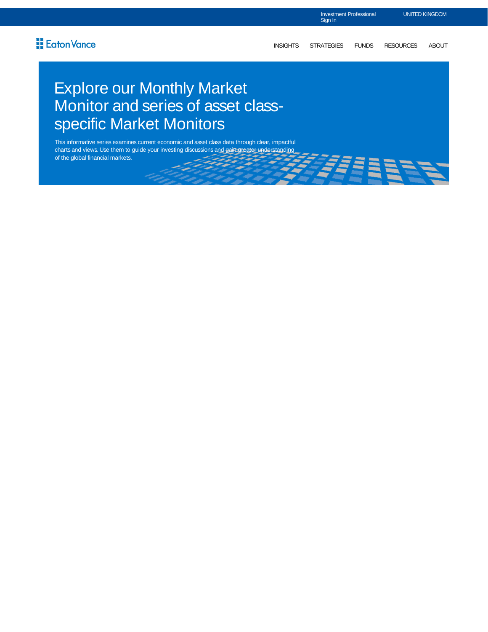INSIGHTS STRATEGIES FUNDS RESOURCES ABOUT

*744* BBBB7

## Explore our Monthly Market Monitor and series of asset classspecific Market Monitors

This informative series examines current economic and asset class data through clear, impactful charts and views. Use them to guide your investing discussions and gain greater understanding of the global financial markets.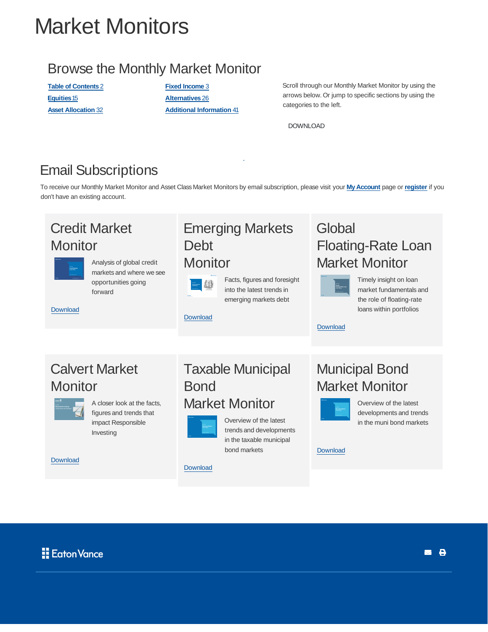# Market Monitors

#### Browse the Monthly Market Monitor

**Table of Contents** 2 **Fixed Income** 3 **Equities**15 **Alternatives** 26

**Asset Allocation** 32 **Additional Information** 41

Scroll through our Monthly Market Monitor by using the arrows below. Or jump to specific sections by using the categories to the left.

DOWNLOAD

### Email Subscriptions

To receive our Monthly Market Monitor and Asset Class Market Monitors by email subscription, please visit your **My Account** page or **register** if you don't have an existing account.